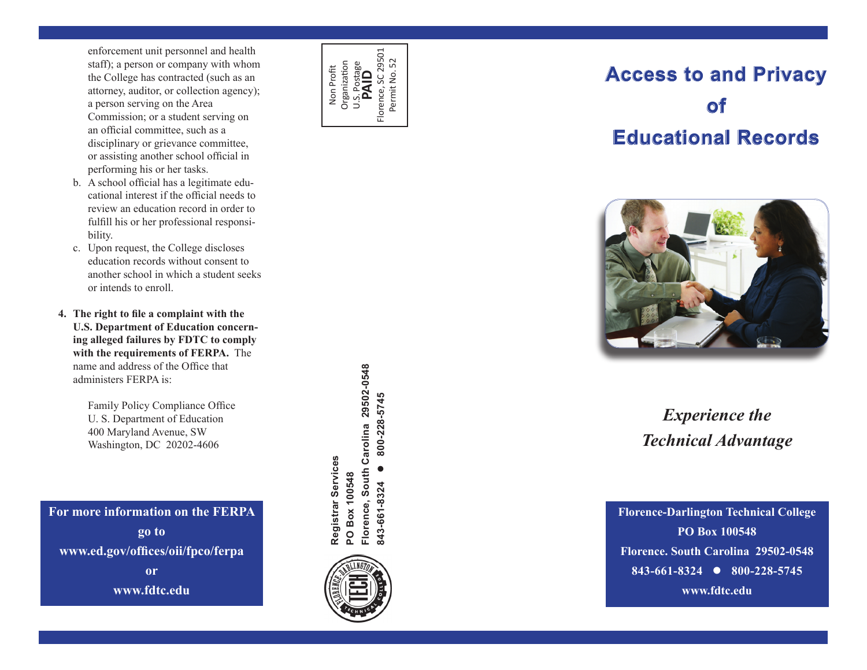enforcement unit personnel and health staff); a person or company with whom the College has contracted (such as an attorney, auditor, or collection agency); a person serving on the Area Commission; or a student serving on an official committee, such as a disciplinary or grievance committee, or assisting another school official in performing his or her tasks.

- b. A school official has a legitimate educational interest if the official needs to review an education record in order to fulfill his or her professional responsi bility.
- c. Upon request, the College discloses education records without consent to another school in which a student seeks or intends to enroll.
- **4. The right to file a complaint with the U.S. Department of Education concern ing alleged failures by FDTC to comply with the requirements of FERPA.** The name and address of the Office that administers FERPA is:

Family Policy Compliance Office U. S. Department of Education 400 Maryland Avenue, SW Washington, DC 20202-4606

**For more information on the FERPA go to www.ed.gov/offices/oii/fpco/ferpa or www.fdtc.edu**



# **Access to and Privacy Access and Privacy of Educational Records of EducationaI Records**



## *Experience the Technical Advantage*

**Florence-Darlington Technical College PO Box 100548 Florence. South Carolina 29502-0548 843-661-8324 800-228-5745 www.fdtc.edu**

Florence, South Carolina 29502-0548 **Florence, South Carolina 29502-0548** 800-228-5745 **843-661-8324 800-228-5745** Registrar Services **Registrar Services**  $\bullet$ PO Box 100548 **PO Box 100548** 843-661-8324